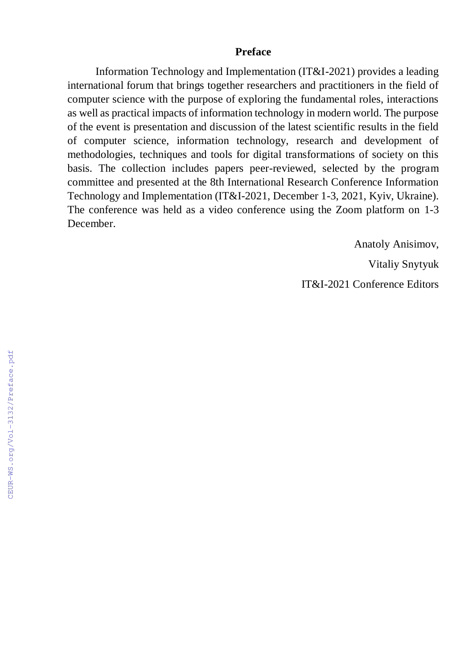## **Preface**

Information Technology and Implementation (IT&I-2021) provides a leading international forum that brings together researchers and practitioners in the field of computer science with the purpose of exploring the fundamental roles, interactions as well as practical impacts of information technology in modern world. The purpose of the event is presentation and discussion of the latest scientific results in the field of computer science, information technology, research and development of methodologies, techniques and tools for digital transformations of society on this basis. The collection includes papers peer-reviewed, selected by the program committee and presented at the 8th International Research Conference Information Technology and Implementation (IT&I-2021, December 1-3, 2021, Kyiv, Ukraine). The conference was held as a video conference using the Zoom platform on 1-3 December.

> Anatoly Anisimov, Vitaliy Snytyuk IT&I-2021 Conference Editors

CEUR-WS.org/Vol-3132/Preface.pdf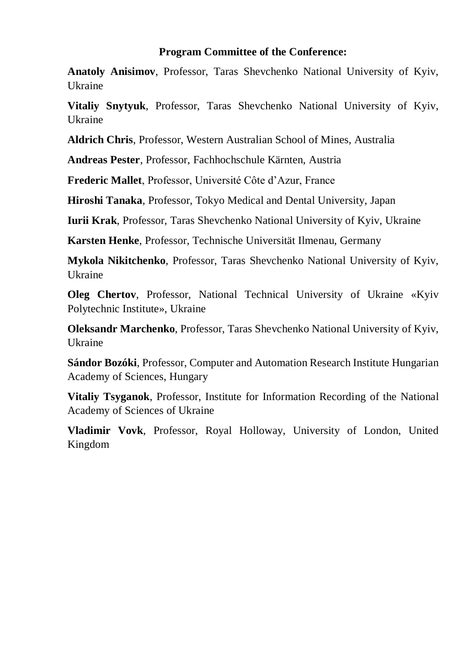## **Program Committee of the Conference:**

**Anatoly Anisimov**, Professor, Taras Shevchenko National University of Kyiv, Ukraine

**Vitaliy Snytyuk**, Professor, Taras Shevchenko National University of Kyiv, **Ukraine** 

**Aldrich Chris**, Professor, Western Australian School of Mines, Australia

**Andreas Pester**, Professor, Fachhochschule Kärnten, Austria

**Frederic Mallet**, Professor, Université Côte d'Azur, France

**Hiroshi Tanaka**, Professor, Tokyo Medical and Dental University, Japan

**Iurii Krak**, Professor, Taras Shevchenko National University of Kyiv, Ukraine

**Karsten Henke**, Professor, Technische Universität Ilmenau, Germany

**Mykola Nikitchenko**, Professor, Taras Shevchenko National University of Kyiv, Ukraine

**Oleg Chertov**, Professor, National Technical University of Ukraine «Kyiv Polytechnic Institute», Ukraine

**Oleksandr Marchenko**, Professor, Taras Shevchenko National University of Kyiv, Ukraine

**Sándor Bozóki**, Professor, Computer and Automation Research Institute Hungarian Academy of Sciences, Hungary

**Vitaliy Tsyganok**, Professor, Institute for Information Recording of the National Academy of Sciences of Ukraine

**Vladimir Vovk**, Professor, Royal Holloway, University of London, United Kingdom